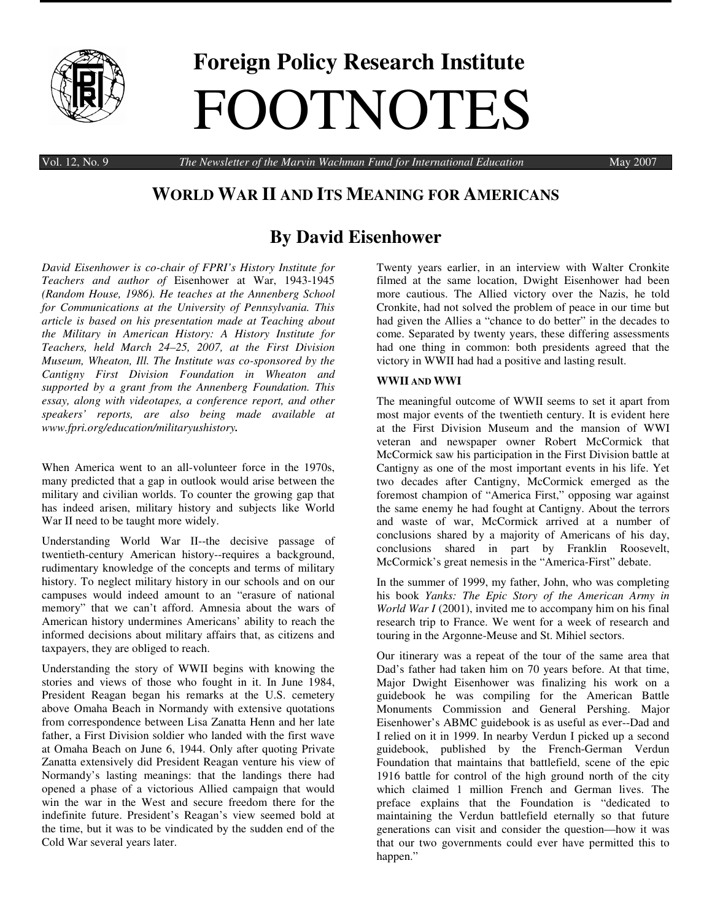

# **Foreign Policy Research Institute** FOOTNOTES

Vol. 12, No. 9 *The Newsletter of the Marvin Wachman Fund for International Education* May 2007

# **WORLD WAR II AND ITS MEANING FOR AMERICANS**

# **By David Eisenhower**

*David Eisenhower is co-chair of FPRI's History Institute for Teachers and author of* Eisenhower at War, 1943-1945 *(Random House, 1986). He teaches at the Annenberg School for Communications at the University of Pennsylvania. This article is based on his presentation made at Teaching about the Military in American History: A History Institute for Teachers, held March 24–25, 2007, at the First Division Museum, Wheaton, Ill. The Institute was co-sponsored by the Cantigny First Division Foundation in Wheaton and supported by a grant from the Annenberg Foundation. This essay, along with videotapes, a conference report, and other speakers' reports, are also being made available at www.fpri.org/education/militaryushistory.*

When America went to an all-volunteer force in the 1970s, many predicted that a gap in outlook would arise between the military and civilian worlds. To counter the growing gap that has indeed arisen, military history and subjects like World War II need to be taught more widely.

Understanding World War II--the decisive passage of twentieth-century American history--requires a background, rudimentary knowledge of the concepts and terms of military history. To neglect military history in our schools and on our campuses would indeed amount to an "erasure of national memory" that we can't afford. Amnesia about the wars of American history undermines Americans' ability to reach the informed decisions about military affairs that, as citizens and taxpayers, they are obliged to reach.

Understanding the story of WWII begins with knowing the stories and views of those who fought in it. In June 1984, President Reagan began his remarks at the U.S. cemetery above Omaha Beach in Normandy with extensive quotations from correspondence between Lisa Zanatta Henn and her late father, a First Division soldier who landed with the first wave at Omaha Beach on June 6, 1944. Only after quoting Private Zanatta extensively did President Reagan venture his view of Normandy's lasting meanings: that the landings there had opened a phase of a victorious Allied campaign that would win the war in the West and secure freedom there for the indefinite future. President's Reagan's view seemed bold at the time, but it was to be vindicated by the sudden end of the Cold War several years later.

Twenty years earlier, in an interview with Walter Cronkite filmed at the same location, Dwight Eisenhower had been more cautious. The Allied victory over the Nazis, he told Cronkite, had not solved the problem of peace in our time but had given the Allies a "chance to do better" in the decades to come. Separated by twenty years, these differing assessments had one thing in common: both presidents agreed that the victory in WWII had had a positive and lasting result.

# **WWII AND WWI**

The meaningful outcome of WWII seems to set it apart from most major events of the twentieth century. It is evident here at the First Division Museum and the mansion of WWI veteran and newspaper owner Robert McCormick that McCormick saw his participation in the First Division battle at Cantigny as one of the most important events in his life. Yet two decades after Cantigny, McCormick emerged as the foremost champion of "America First," opposing war against the same enemy he had fought at Cantigny. About the terrors and waste of war, McCormick arrived at a number of conclusions shared by a majority of Americans of his day, conclusions shared in part by Franklin Roosevelt, McCormick's great nemesis in the "America-First" debate.

In the summer of 1999, my father, John, who was completing his book *Yanks: The Epic Story of the American Army in World War I* (2001), invited me to accompany him on his final research trip to France. We went for a week of research and touring in the Argonne-Meuse and St. Mihiel sectors.

Our itinerary was a repeat of the tour of the same area that Dad's father had taken him on 70 years before. At that time, Major Dwight Eisenhower was finalizing his work on a guidebook he was compiling for the American Battle Monuments Commission and General Pershing. Major Eisenhower's ABMC guidebook is as useful as ever--Dad and I relied on it in 1999. In nearby Verdun I picked up a second guidebook, published by the French-German Verdun Foundation that maintains that battlefield, scene of the epic 1916 battle for control of the high ground north of the city which claimed 1 million French and German lives. The preface explains that the Foundation is "dedicated to maintaining the Verdun battlefield eternally so that future generations can visit and consider the question—how it was that our two governments could ever have permitted this to happen."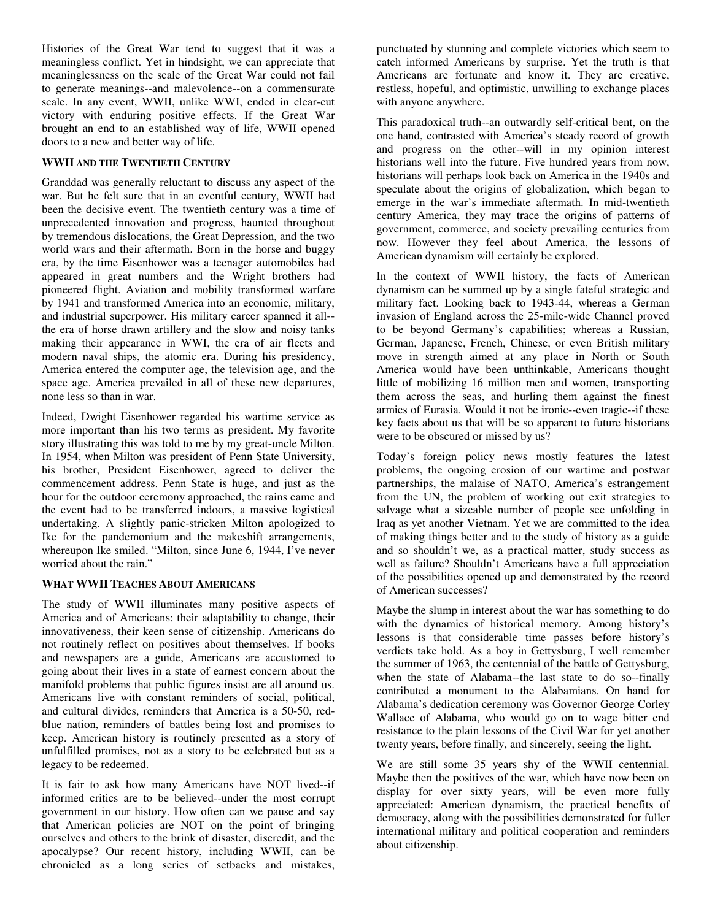Histories of the Great War tend to suggest that it was a meaningless conflict. Yet in hindsight, we can appreciate that meaninglessness on the scale of the Great War could not fail to generate meanings--and malevolence--on a commensurate scale. In any event, WWII, unlike WWI, ended in clear-cut victory with enduring positive effects. If the Great War brought an end to an established way of life, WWII opened doors to a new and better way of life.

## **WWII AND THE TWENTIETH CENTURY**

Granddad was generally reluctant to discuss any aspect of the war. But he felt sure that in an eventful century, WWII had been the decisive event. The twentieth century was a time of unprecedented innovation and progress, haunted throughout by tremendous dislocations, the Great Depression, and the two world wars and their aftermath. Born in the horse and buggy era, by the time Eisenhower was a teenager automobiles had appeared in great numbers and the Wright brothers had pioneered flight. Aviation and mobility transformed warfare by 1941 and transformed America into an economic, military, and industrial superpower. His military career spanned it all- the era of horse drawn artillery and the slow and noisy tanks making their appearance in WWI, the era of air fleets and modern naval ships, the atomic era. During his presidency, America entered the computer age, the television age, and the space age. America prevailed in all of these new departures, none less so than in war.

Indeed, Dwight Eisenhower regarded his wartime service as more important than his two terms as president. My favorite story illustrating this was told to me by my great-uncle Milton. In 1954, when Milton was president of Penn State University, his brother, President Eisenhower, agreed to deliver the commencement address. Penn State is huge, and just as the hour for the outdoor ceremony approached, the rains came and the event had to be transferred indoors, a massive logistical undertaking. A slightly panic-stricken Milton apologized to Ike for the pandemonium and the makeshift arrangements, whereupon Ike smiled. "Milton, since June 6, 1944, I've never worried about the rain."

# **WHAT WWII TEACHES ABOUT AMERICANS**

The study of WWII illuminates many positive aspects of America and of Americans: their adaptability to change, their innovativeness, their keen sense of citizenship. Americans do not routinely reflect on positives about themselves. If books and newspapers are a guide, Americans are accustomed to going about their lives in a state of earnest concern about the manifold problems that public figures insist are all around us. Americans live with constant reminders of social, political, and cultural divides, reminders that America is a 50-50, redblue nation, reminders of battles being lost and promises to keep. American history is routinely presented as a story of unfulfilled promises, not as a story to be celebrated but as a legacy to be redeemed.

It is fair to ask how many Americans have NOT lived--if informed critics are to be believed--under the most corrupt government in our history. How often can we pause and say that American policies are NOT on the point of bringing ourselves and others to the brink of disaster, discredit, and the apocalypse? Our recent history, including WWII, can be chronicled as a long series of setbacks and mistakes,

punctuated by stunning and complete victories which seem to catch informed Americans by surprise. Yet the truth is that Americans are fortunate and know it. They are creative, restless, hopeful, and optimistic, unwilling to exchange places with anyone anywhere.

This paradoxical truth--an outwardly self-critical bent, on the one hand, contrasted with America's steady record of growth and progress on the other--will in my opinion interest historians well into the future. Five hundred years from now, historians will perhaps look back on America in the 1940s and speculate about the origins of globalization, which began to emerge in the war's immediate aftermath. In mid-twentieth century America, they may trace the origins of patterns of government, commerce, and society prevailing centuries from now. However they feel about America, the lessons of American dynamism will certainly be explored.

In the context of WWII history, the facts of American dynamism can be summed up by a single fateful strategic and military fact. Looking back to 1943-44, whereas a German invasion of England across the 25-mile-wide Channel proved to be beyond Germany's capabilities; whereas a Russian, German, Japanese, French, Chinese, or even British military move in strength aimed at any place in North or South America would have been unthinkable, Americans thought little of mobilizing 16 million men and women, transporting them across the seas, and hurling them against the finest armies of Eurasia. Would it not be ironic--even tragic--if these key facts about us that will be so apparent to future historians were to be obscured or missed by us?

Today's foreign policy news mostly features the latest problems, the ongoing erosion of our wartime and postwar partnerships, the malaise of NATO, America's estrangement from the UN, the problem of working out exit strategies to salvage what a sizeable number of people see unfolding in Iraq as yet another Vietnam. Yet we are committed to the idea of making things better and to the study of history as a guide and so shouldn't we, as a practical matter, study success as well as failure? Shouldn't Americans have a full appreciation of the possibilities opened up and demonstrated by the record of American successes?

Maybe the slump in interest about the war has something to do with the dynamics of historical memory. Among history's lessons is that considerable time passes before history's verdicts take hold. As a boy in Gettysburg, I well remember the summer of 1963, the centennial of the battle of Gettysburg, when the state of Alabama--the last state to do so--finally contributed a monument to the Alabamians. On hand for Alabama's dedication ceremony was Governor George Corley Wallace of Alabama, who would go on to wage bitter end resistance to the plain lessons of the Civil War for yet another twenty years, before finally, and sincerely, seeing the light.

We are still some 35 years shy of the WWII centennial. Maybe then the positives of the war, which have now been on display for over sixty years, will be even more fully appreciated: American dynamism, the practical benefits of democracy, along with the possibilities demonstrated for fuller international military and political cooperation and reminders about citizenship.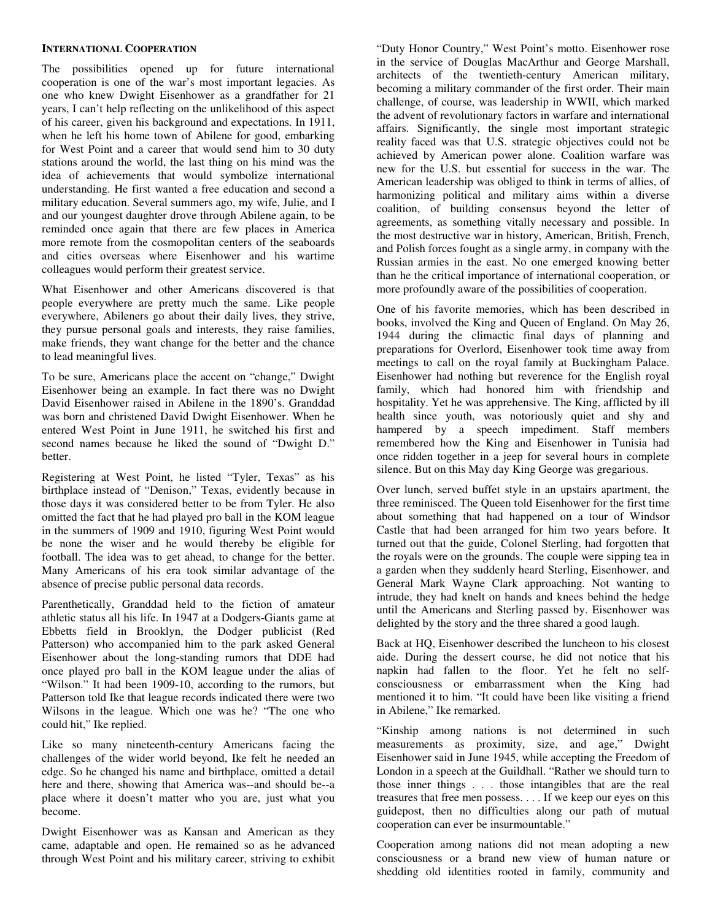#### **INTERNATIONAL COOPERATION**

The possibilities opened up for future international cooperation is one of the war's most important legacies. As one who knew Dwight Eisenhower as a grandfather for 21 years, I can't help reflecting on the unlikelihood of this aspect of his career, given his background and expectations. In 1911, when he left his home town of Abilene for good, embarking for West Point and a career that would send him to 30 duty stations around the world, the last thing on his mind was the idea of achievements that would symbolize international understanding. He first wanted a free education and second a military education. Several summers ago, my wife, Julie, and I and our youngest daughter drove through Abilene again, to be reminded once again that there are few places in America more remote from the cosmopolitan centers of the seaboards and cities overseas where Eisenhower and his wartime colleagues would perform their greatest service.

What Eisenhower and other Americans discovered is that people everywhere are pretty much the same. Like people everywhere, Abileners go about their daily lives, they strive, they pursue personal goals and interests, they raise families, make friends, they want change for the better and the chance to lead meaningful lives.

To be sure, Americans place the accent on "change," Dwight Eisenhower being an example. In fact there was no Dwight David Eisenhower raised in Abilene in the 1890's. Granddad was born and christened David Dwight Eisenhower. When he entered West Point in June 1911, he switched his first and second names because he liked the sound of "Dwight D." better.

Registering at West Point, he listed "Tyler, Texas" as his birthplace instead of "Denison," Texas, evidently because in those days it was considered better to be from Tyler. He also omitted the fact that he had played pro ball in the KOM league in the summers of 1909 and 1910, figuring West Point would be none the wiser and he would thereby be eligible for football. The idea was to get ahead, to change for the better. Many Americans of his era took similar advantage of the absence of precise public personal data records.

Parenthetically, Granddad held to the fiction of amateur athletic status all his life. In 1947 at a Dodgers-Giants game at Ebbetts field in Brooklyn, the Dodger publicist (Red Patterson) who accompanied him to the park asked General Eisenhower about the long-standing rumors that DDE had once played pro ball in the KOM league under the alias of "Wilson." It had been 1909-10, according to the rumors, but Patterson told Ike that league records indicated there were two Wilsons in the league. Which one was he? "The one who could hit," Ike replied.

Like so many nineteenth-century Americans facing the challenges of the wider world beyond, Ike felt he needed an edge. So he changed his name and birthplace, omitted a detail here and there, showing that America was--and should be--a place where it doesn't matter who you are, just what you become.

Dwight Eisenhower was as Kansan and American as they came, adaptable and open. He remained so as he advanced through West Point and his military career, striving to exhibit

"Duty Honor Country," West Point's motto. Eisenhower rose in the service of Douglas MacArthur and George Marshall, architects of the twentieth-century American military, becoming a military commander of the first order. Their main challenge, of course, was leadership in WWII, which marked the advent of revolutionary factors in warfare and international affairs. Significantly, the single most important strategic reality faced was that U.S. strategic objectives could not be achieved by American power alone. Coalition warfare was new for the U.S. but essential for success in the war. The American leadership was obliged to think in terms of allies, of harmonizing political and military aims within a diverse coalition, of building consensus beyond the letter of agreements, as something vitally necessary and possible. In the most destructive war in history, American, British, French, and Polish forces fought as a single army, in company with the Russian armies in the east. No one emerged knowing better than he the critical importance of international cooperation, or more profoundly aware of the possibilities of cooperation.

One of his favorite memories, which has been described in books, involved the King and Queen of England. On May 26, 1944 during the climactic final days of planning and preparations for Overlord, Eisenhower took time away from meetings to call on the royal family at Buckingham Palace. Eisenhower had nothing but reverence for the English royal family, which had honored him with friendship and hospitality. Yet he was apprehensive. The King, afflicted by ill health since youth, was notoriously quiet and shy and hampered by a speech impediment. Staff members remembered how the King and Eisenhower in Tunisia had once ridden together in a jeep for several hours in complete silence. But on this May day King George was gregarious.

Over lunch, served buffet style in an upstairs apartment, the three reminisced. The Queen told Eisenhower for the first time about something that had happened on a tour of Windsor Castle that had been arranged for him two years before. It turned out that the guide, Colonel Sterling, had forgotten that the royals were on the grounds. The couple were sipping tea in a garden when they suddenly heard Sterling, Eisenhower, and General Mark Wayne Clark approaching. Not wanting to intrude, they had knelt on hands and knees behind the hedge until the Americans and Sterling passed by. Eisenhower was delighted by the story and the three shared a good laugh.

Back at HQ, Eisenhower described the luncheon to his closest aide. During the dessert course, he did not notice that his napkin had fallen to the floor. Yet he felt no selfconsciousness or embarrassment when the King had mentioned it to him. "It could have been like visiting a friend in Abilene," Ike remarked.

"Kinship among nations is not determined in such measurements as proximity, size, and age," Dwight Eisenhower said in June 1945, while accepting the Freedom of London in a speech at the Guildhall. "Rather we should turn to those inner things . . . those intangibles that are the real treasures that free men possess. . . . If we keep our eyes on this guidepost, then no difficulties along our path of mutual cooperation can ever be insurmountable."

Cooperation among nations did not mean adopting a new consciousness or a brand new view of human nature or shedding old identities rooted in family, community and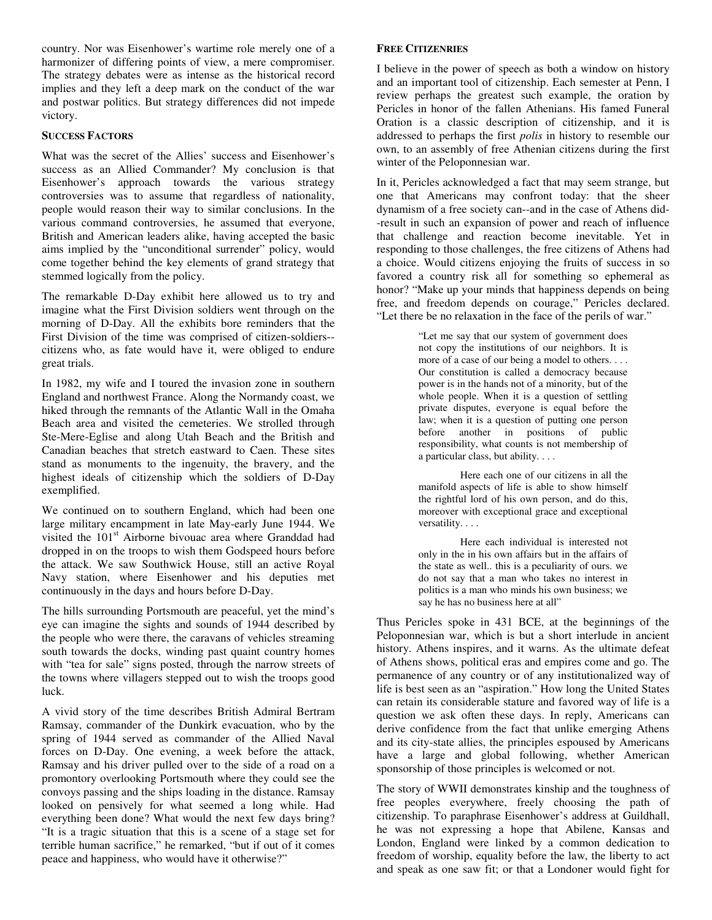country. Nor was Eisenhower's wartime role merely one of a harmonizer of differing points of view, a mere compromiser. The strategy debates were as intense as the historical record implies and they left a deep mark on the conduct of the war and postwar politics. But strategy differences did not impede victory.

#### **SUCCESS FACTORS**

What was the secret of the Allies' success and Eisenhower's success as an Allied Commander? My conclusion is that Eisenhower's approach towards the various strategy controversies was to assume that regardless of nationality, people would reason their way to similar conclusions. In the various command controversies, he assumed that everyone, British and American leaders alike, having accepted the basic aims implied by the "unconditional surrender" policy, would come together behind the key elements of grand strategy that stemmed logically from the policy.

The remarkable D-Day exhibit here allowed us to try and imagine what the First Division soldiers went through on the morning of D-Day. All the exhibits bore reminders that the First Division of the time was comprised of citizen-soldiers- citizens who, as fate would have it, were obliged to endure great trials.

In 1982, my wife and I toured the invasion zone in southern England and northwest France. Along the Normandy coast, we hiked through the remnants of the Atlantic Wall in the Omaha Beach area and visited the cemeteries. We strolled through Ste-Mere-Eglise and along Utah Beach and the British and Canadian beaches that stretch eastward to Caen. These sites stand as monuments to the ingenuity, the bravery, and the highest ideals of citizenship which the soldiers of D-Day exemplified.

We continued on to southern England, which had been one large military encampment in late May-early June 1944. We visited the 101<sup>st</sup> Airborne bivouac area where Granddad had dropped in on the troops to wish them Godspeed hours before the attack. We saw Southwick House, still an active Royal Navy station, where Eisenhower and his deputies met continuously in the days and hours before D-Day.

The hills surrounding Portsmouth are peaceful, yet the mind's eye can imagine the sights and sounds of 1944 described by the people who were there, the caravans of vehicles streaming south towards the docks, winding past quaint country homes with "tea for sale" signs posted, through the narrow streets of the towns where villagers stepped out to wish the troops good luck.

A vivid story of the time describes British Admiral Bertram Ramsay, commander of the Dunkirk evacuation, who by the spring of 1944 served as commander of the Allied Naval forces on D-Day. One evening, a week before the attack, Ramsay and his driver pulled over to the side of a road on a promontory overlooking Portsmouth where they could see the convoys passing and the ships loading in the distance. Ramsay looked on pensively for what seemed a long while. Had everything been done? What would the next few days bring? "It is a tragic situation that this is a scene of a stage set for terrible human sacrifice," he remarked, "but if out of it comes peace and happiness, who would have it otherwise?"

## **FREE CITIZENRIES**

I believe in the power of speech as both a window on history and an important tool of citizenship. Each semester at Penn, I review perhaps the greatest such example, the oration by Pericles in honor of the fallen Athenians. His famed Funeral Oration is a classic description of citizenship, and it is addressed to perhaps the first *polis* in history to resemble our own, to an assembly of free Athenian citizens during the first winter of the Peloponnesian war.

In it, Pericles acknowledged a fact that may seem strange, but one that Americans may confront today: that the sheer dynamism of a free society can--and in the case of Athens did- -result in such an expansion of power and reach of influence that challenge and reaction become inevitable. Yet in responding to those challenges, the free citizens of Athens had a choice. Would citizens enjoying the fruits of success in so favored a country risk all for something so ephemeral as honor? "Make up your minds that happiness depends on being free, and freedom depends on courage," Pericles declared. "Let there be no relaxation in the face of the perils of war."

> "Let me say that our system of government does not copy the institutions of our neighbors. It is more of a case of our being a model to others. . . . Our constitution is called a democracy because power is in the hands not of a minority, but of the whole people. When it is a question of settling private disputes, everyone is equal before the law; when it is a question of putting one person before another in positions of public responsibility, what counts is not membership of a particular class, but ability. . . .

> Here each one of our citizens in all the manifold aspects of life is able to show himself the rightful lord of his own person, and do this, moreover with exceptional grace and exceptional versatility. . . .

> Here each individual is interested not only in the in his own affairs but in the affairs of the state as well.. this is a peculiarity of ours. we do not say that a man who takes no interest in politics is a man who minds his own business; we say he has no business here at all"

Thus Pericles spoke in 431 BCE, at the beginnings of the Peloponnesian war, which is but a short interlude in ancient history. Athens inspires, and it warns. As the ultimate defeat of Athens shows, political eras and empires come and go. The permanence of any country or of any institutionalized way of life is best seen as an "aspiration." How long the United States can retain its considerable stature and favored way of life is a question we ask often these days. In reply, Americans can derive confidence from the fact that unlike emerging Athens and its city-state allies, the principles espoused by Americans have a large and global following, whether American sponsorship of those principles is welcomed or not.

The story of WWII demonstrates kinship and the toughness of free peoples everywhere, freely choosing the path of citizenship. To paraphrase Eisenhower's address at Guildhall, he was not expressing a hope that Abilene, Kansas and London, England were linked by a common dedication to freedom of worship, equality before the law, the liberty to act and speak as one saw fit; or that a Londoner would fight for